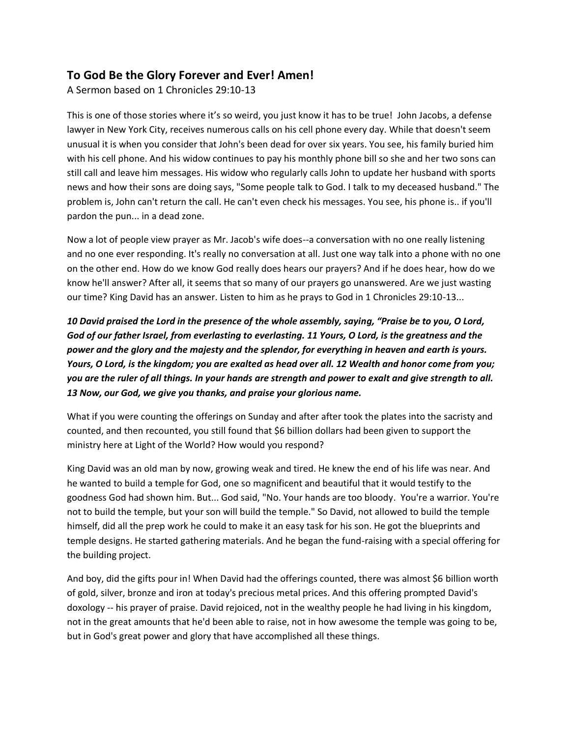## **To God Be the Glory Forever and Ever! Amen!**

A Sermon based on 1 Chronicles 29:10-13

This is one of those stories where it's so weird, you just know it has to be true! John Jacobs, a defense lawyer in New York City, receives numerous calls on his cell phone every day. While that doesn't seem unusual it is when you consider that John's been dead for over six years. You see, his family buried him with his cell phone. And his widow continues to pay his monthly phone bill so she and her two sons can still call and leave him messages. His widow who regularly calls John to update her husband with sports news and how their sons are doing says, "Some people talk to God. I talk to my deceased husband." The problem is, John can't return the call. He can't even check his messages. You see, his phone is.. if you'll pardon the pun... in a dead zone.

Now a lot of people view prayer as Mr. Jacob's wife does--a conversation with no one really listening and no one ever responding. It's really no conversation at all. Just one way talk into a phone with no one on the other end. How do we know God really does hears our prayers? And if he does hear, how do we know he'll answer? After all, it seems that so many of our prayers go unanswered. Are we just wasting our time? King David has an answer. Listen to him as he prays to God in 1 Chronicles 29:10-13...

*10 David praised the Lord in the presence of the whole assembly, saying, "Praise be to you, O Lord, God of our father Israel, from everlasting to everlasting. 11 Yours, O Lord, is the greatness and the power and the glory and the majesty and the splendor, for everything in heaven and earth is yours. Yours, O Lord, is the kingdom; you are exalted as head over all. 12 Wealth and honor come from you; you are the ruler of all things. In your hands are strength and power to exalt and give strength to all. 13 Now, our God, we give you thanks, and praise your glorious name.* 

What if you were counting the offerings on Sunday and after after took the plates into the sacristy and counted, and then recounted, you still found that \$6 billion dollars had been given to support the ministry here at Light of the World? How would you respond?

King David was an old man by now, growing weak and tired. He knew the end of his life was near. And he wanted to build a temple for God, one so magnificent and beautiful that it would testify to the goodness God had shown him. But... God said, "No. Your hands are too bloody. You're a warrior. You're not to build the temple, but your son will build the temple." So David, not allowed to build the temple himself, did all the prep work he could to make it an easy task for his son. He got the blueprints and temple designs. He started gathering materials. And he began the fund-raising with a special offering for the building project.

And boy, did the gifts pour in! When David had the offerings counted, there was almost \$6 billion worth of gold, silver, bronze and iron at today's precious metal prices. And this offering prompted David's doxology -- his prayer of praise. David rejoiced, not in the wealthy people he had living in his kingdom, not in the great amounts that he'd been able to raise, not in how awesome the temple was going to be, but in God's great power and glory that have accomplished all these things.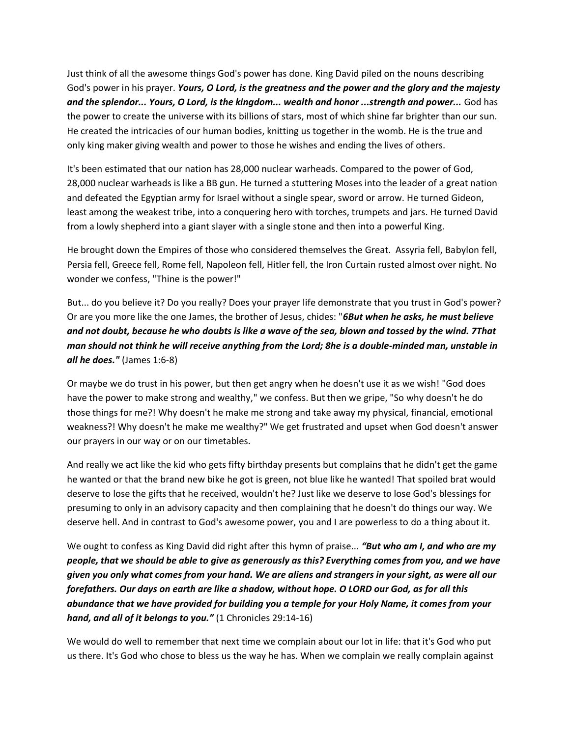Just think of all the awesome things God's power has done. King David piled on the nouns describing God's power in his prayer. *Yours, O Lord, is the greatness and the power and the glory and the majesty and the splendor... Yours, O Lord, is the kingdom... wealth and honor ...strength and power...* God has the power to create the universe with its billions of stars, most of which shine far brighter than our sun. He created the intricacies of our human bodies, knitting us together in the womb. He is the true and only king maker giving wealth and power to those he wishes and ending the lives of others.

It's been estimated that our nation has 28,000 nuclear warheads. Compared to the power of God, 28,000 nuclear warheads is like a BB gun. He turned a stuttering Moses into the leader of a great nation and defeated the Egyptian army for Israel without a single spear, sword or arrow. He turned Gideon, least among the weakest tribe, into a conquering hero with torches, trumpets and jars. He turned David from a lowly shepherd into a giant slayer with a single stone and then into a powerful King.

He brought down the Empires of those who considered themselves the Great. Assyria fell, Babylon fell, Persia fell, Greece fell, Rome fell, Napoleon fell, Hitler fell, the Iron Curtain rusted almost over night. No wonder we confess, "Thine is the power!"

But... do you believe it? Do you really? Does your prayer life demonstrate that you trust in God's power? Or are you more like the one James, the brother of Jesus, chides: "*6But when he asks, he must believe and not doubt, because he who doubts is like a wave of the sea, blown and tossed by the wind. 7That man should not think he will receive anything from the Lord; 8he is a double-minded man, unstable in all he does."* (James 1:6-8)

Or maybe we do trust in his power, but then get angry when he doesn't use it as we wish! "God does have the power to make strong and wealthy," we confess. But then we gripe, "So why doesn't he do those things for me?! Why doesn't he make me strong and take away my physical, financial, emotional weakness?! Why doesn't he make me wealthy?" We get frustrated and upset when God doesn't answer our prayers in our way or on our timetables.

And really we act like the kid who gets fifty birthday presents but complains that he didn't get the game he wanted or that the brand new bike he got is green, not blue like he wanted! That spoiled brat would deserve to lose the gifts that he received, wouldn't he? Just like we deserve to lose God's blessings for presuming to only in an advisory capacity and then complaining that he doesn't do things our way. We deserve hell. And in contrast to God's awesome power, you and I are powerless to do a thing about it.

We ought to confess as King David did right after this hymn of praise... *"But who am I, and who are my people, that we should be able to give as generously as this? Everything comes from you, and we have given you only what comes from your hand. We are aliens and strangers in your sight, as were all our forefathers. Our days on earth are like a shadow, without hope. O LORD our God, as for all this abundance that we have provided for building you a temple for your Holy Name, it comes from your hand, and all of it belongs to you."* (1 Chronicles 29:14-16)

We would do well to remember that next time we complain about our lot in life: that it's God who put us there. It's God who chose to bless us the way he has. When we complain we really complain against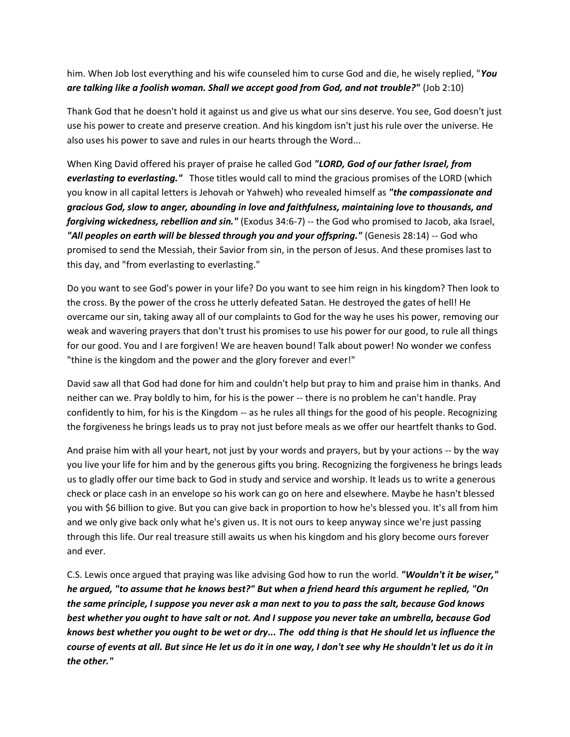him. When Job lost everything and his wife counseled him to curse God and die, he wisely replied, "*You are talking like a foolish woman. Shall we accept good from God, and not trouble?"* (Job 2:10)

Thank God that he doesn't hold it against us and give us what our sins deserve. You see, God doesn't just use his power to create and preserve creation. And his kingdom isn't just his rule over the universe. He also uses his power to save and rules in our hearts through the Word...

When King David offered his prayer of praise he called God *"LORD, God of our father Israel, from everlasting to everlasting."* Those titles would call to mind the gracious promises of the LORD (which you know in all capital letters is Jehovah or Yahweh) who revealed himself as *"the compassionate and gracious God, slow to anger, abounding in love and faithfulness, maintaining love to thousands, and forgiving wickedness, rebellion and sin."* (Exodus 34:6-7) -- the God who promised to Jacob, aka Israel, *"All peoples on earth will be blessed through you and your offspring."* (Genesis 28:14) -- God who promised to send the Messiah, their Savior from sin, in the person of Jesus. And these promises last to this day, and "from everlasting to everlasting."

Do you want to see God's power in your life? Do you want to see him reign in his kingdom? Then look to the cross. By the power of the cross he utterly defeated Satan. He destroyed the gates of hell! He overcame our sin, taking away all of our complaints to God for the way he uses his power, removing our weak and wavering prayers that don't trust his promises to use his power for our good, to rule all things for our good. You and I are forgiven! We are heaven bound! Talk about power! No wonder we confess "thine is the kingdom and the power and the glory forever and ever!"

David saw all that God had done for him and couldn't help but pray to him and praise him in thanks. And neither can we. Pray boldly to him, for his is the power -- there is no problem he can't handle. Pray confidently to him, for his is the Kingdom -- as he rules all things for the good of his people. Recognizing the forgiveness he brings leads us to pray not just before meals as we offer our heartfelt thanks to God.

And praise him with all your heart, not just by your words and prayers, but by your actions -- by the way you live your life for him and by the generous gifts you bring. Recognizing the forgiveness he brings leads us to gladly offer our time back to God in study and service and worship. It leads us to write a generous check or place cash in an envelope so his work can go on here and elsewhere. Maybe he hasn't blessed you with \$6 billion to give. But you can give back in proportion to how he's blessed you. It's all from him and we only give back only what he's given us. It is not ours to keep anyway since we're just passing through this life. Our real treasure still awaits us when his kingdom and his glory become ours forever and ever.

C.S. Lewis once argued that praying was like advising God how to run the world. *"Wouldn't it be wiser," he argued, "to assume that he knows best?" But when a friend heard this argument he replied, "On the same principle, I suppose you never ask a man next to you to pass the salt, because God knows best whether you ought to have salt or not. And I suppose you never take an umbrella, because God knows best whether you ought to be wet or dry... The odd thing is that He should let us influence the course of events at all. But since He let us do it in one way, I don't see why He shouldn't let us do it in the other."*